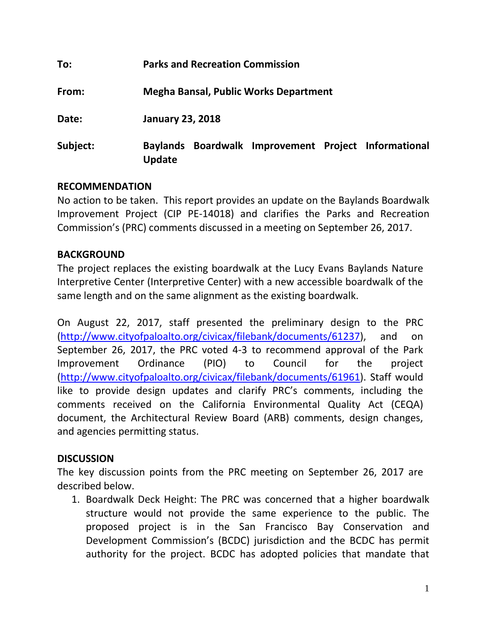| To:      | <b>Parks and Recreation Commission</b>       |  |                                                      |  |  |
|----------|----------------------------------------------|--|------------------------------------------------------|--|--|
| From:    | <b>Megha Bansal, Public Works Department</b> |  |                                                      |  |  |
| Date:    | <b>January 23, 2018</b>                      |  |                                                      |  |  |
| Subject: | Update                                       |  | Baylands Boardwalk Improvement Project Informational |  |  |

#### **RECOMMENDATION**

No action to be taken. This report provides an update on the Baylands Boardwalk Improvement Project (CIP PE-14018) and clarifies the Parks and Recreation Commission's (PRC) comments discussed in a meeting on September 26, 2017.

#### **BACKGROUND**

The project replaces the existing boardwalk at the Lucy Evans Baylands Nature Interpretive Center (Interpretive Center) with a new accessible boardwalk of the same length and on the same alignment as the existing boardwalk.

On August 22, 2017, staff presented the preliminary design to the PRC [\(http://www.cityofpaloalto.org/civicax/filebank/documents/61237\)](http://www.cityofpaloalto.org/civicax/filebank/documents/61237), and on September 26, 2017, the PRC voted 4-3 to recommend approval of the Park Improvement Ordinance (PIO) to Council for the project [\(http://www.cityofpaloalto.org/civicax/filebank/documents/61961\)](http://www.cityofpaloalto.org/civicax/filebank/documents/61961). Staff would like to provide design updates and clarify PRC's comments, including the comments received on the California Environmental Quality Act (CEQA) document, the Architectural Review Board (ARB) comments, design changes, and agencies permitting status.

#### **DISCUSSION**

The key discussion points from the PRC meeting on September 26, 2017 are described below.

1. Boardwalk Deck Height: The PRC was concerned that a higher boardwalk structure would not provide the same experience to the public. The proposed project is in the San Francisco Bay Conservation and Development Commission's (BCDC) jurisdiction and the BCDC has permit authority for the project. BCDC has adopted policies that mandate that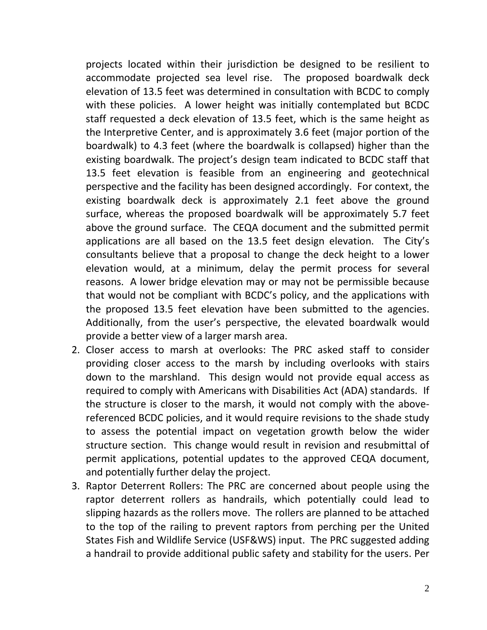projects located within their jurisdiction be designed to be resilient to accommodate projected sea level rise. The proposed boardwalk deck elevation of 13.5 feet was determined in consultation with BCDC to comply with these policies. A lower height was initially contemplated but BCDC staff requested a deck elevation of 13.5 feet, which is the same height as the Interpretive Center, and is approximately 3.6 feet (major portion of the boardwalk) to 4.3 feet (where the boardwalk is collapsed) higher than the existing boardwalk. The project's design team indicated to BCDC staff that 13.5 feet elevation is feasible from an engineering and geotechnical perspective and the facility has been designed accordingly. For context, the existing boardwalk deck is approximately 2.1 feet above the ground surface, whereas the proposed boardwalk will be approximately 5.7 feet above the ground surface. The CEQA document and the submitted permit applications are all based on the 13.5 feet design elevation. The City's consultants believe that a proposal to change the deck height to a lower elevation would, at a minimum, delay the permit process for several reasons. A lower bridge elevation may or may not be permissible because that would not be compliant with BCDC's policy, and the applications with the proposed 13.5 feet elevation have been submitted to the agencies. Additionally, from the user's perspective, the elevated boardwalk would provide a better view of a larger marsh area.

- 2. Closer access to marsh at overlooks: The PRC asked staff to consider providing closer access to the marsh by including overlooks with stairs down to the marshland. This design would not provide equal access as required to comply with Americans with Disabilities Act (ADA) standards. If the structure is closer to the marsh, it would not comply with the abovereferenced BCDC policies, and it would require revisions to the shade study to assess the potential impact on vegetation growth below the wider structure section. This change would result in revision and resubmittal of permit applications, potential updates to the approved CEQA document, and potentially further delay the project.
- 3. Raptor Deterrent Rollers: The PRC are concerned about people using the raptor deterrent rollers as handrails, which potentially could lead to slipping hazards as the rollers move. The rollers are planned to be attached to the top of the railing to prevent raptors from perching per the United States Fish and Wildlife Service (USF&WS) input. The PRC suggested adding a handrail to provide additional public safety and stability for the users. Per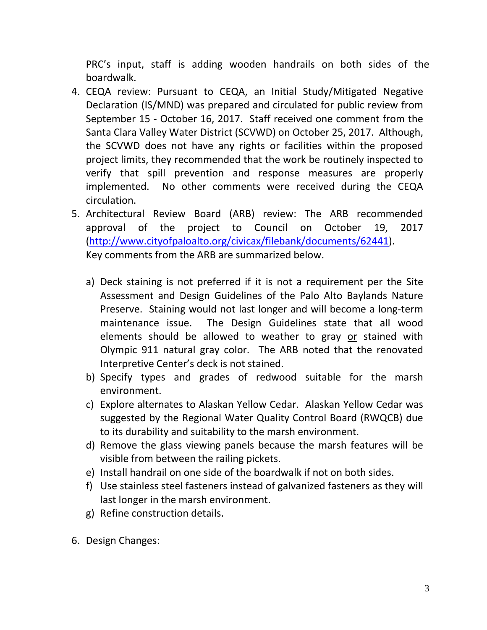PRC's input, staff is adding wooden handrails on both sides of the boardwalk.

- 4. CEQA review: Pursuant to CEQA, an Initial Study/Mitigated Negative Declaration (IS/MND) was prepared and circulated for public review from September 15 - October 16, 2017. Staff received one comment from the Santa Clara Valley Water District (SCVWD) on October 25, 2017. Although, the SCVWD does not have any rights or facilities within the proposed project limits, they recommended that the work be routinely inspected to verify that spill prevention and response measures are properly implemented. No other comments were received during the CEQA circulation.
- 5. Architectural Review Board (ARB) review: The ARB recommended approval of the project to Council on October 19, 2017 [\(http://www.cityofpaloalto.org/civicax/filebank/documents/62441\)](http://www.cityofpaloalto.org/civicax/filebank/documents/62441). Key comments from the ARB are summarized below.
	- a) Deck staining is not preferred if it is not a requirement per the Site Assessment and Design Guidelines of the Palo Alto Baylands Nature Preserve. Staining would not last longer and will become a long-term maintenance issue. The Design Guidelines state that all wood elements should be allowed to weather to gray or stained with Olympic 911 natural gray color. The ARB noted that the renovated Interpretive Center's deck is not stained.
	- b) Specify types and grades of redwood suitable for the marsh environment.
	- c) Explore alternates to Alaskan Yellow Cedar. Alaskan Yellow Cedar was suggested by the Regional Water Quality Control Board (RWQCB) due to its durability and suitability to the marsh environment.
	- d) Remove the glass viewing panels because the marsh features will be visible from between the railing pickets.
	- e) Install handrail on one side of the boardwalk if not on both sides.
	- f) Use stainless steel fasteners instead of galvanized fasteners as they will last longer in the marsh environment.
	- g) Refine construction details.
- 6. Design Changes: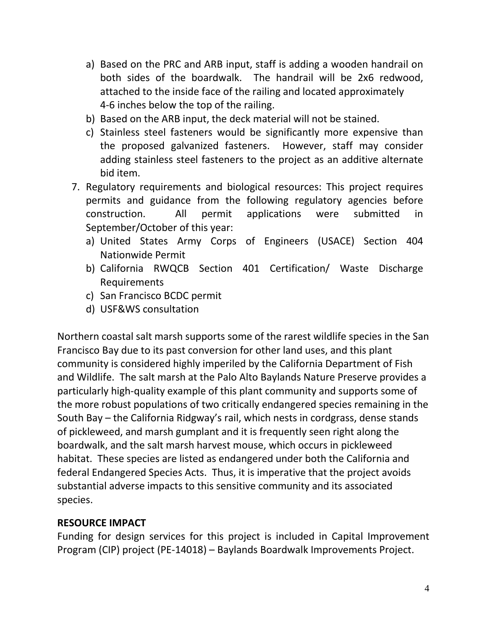- a) Based on the PRC and ARB input, staff is adding a wooden handrail on both sides of the boardwalk. The handrail will be 2x6 redwood, attached to the inside face of the railing and located approximately 4-6 inches below the top of the railing.
- b) Based on the ARB input, the deck material will not be stained.
- c) Stainless steel fasteners would be significantly more expensive than the proposed galvanized fasteners. However, staff may consider adding stainless steel fasteners to the project as an additive alternate bid item.
- 7. Regulatory requirements and biological resources: This project requires permits and guidance from the following regulatory agencies before construction. All permit applications were submitted in September/October of this year:
	- a) United States Army Corps of Engineers (USACE) Section 404 Nationwide Permit
	- b) California RWQCB Section 401 Certification/ Waste Discharge Requirements
	- c) San Francisco BCDC permit
	- d) USF&WS consultation

Northern coastal salt marsh supports some of the rarest wildlife species in the San Francisco Bay due to its past conversion for other land uses, and this plant community is considered highly imperiled by the California Department of Fish and Wildlife. The salt marsh at the Palo Alto Baylands Nature Preserve provides a particularly high-quality example of this plant community and supports some of the more robust populations of two critically endangered species remaining in the South Bay – the California Ridgway's rail, which nests in cordgrass, dense stands of pickleweed, and marsh gumplant and it is frequently seen right along the boardwalk, and the salt marsh harvest mouse, which occurs in pickleweed habitat. These species are listed as endangered under both the California and federal Endangered Species Acts. Thus, it is imperative that the project avoids substantial adverse impacts to this sensitive community and its associated species.

#### **RESOURCE IMPACT**

Funding for design services for this project is included in Capital Improvement Program (CIP) project (PE-14018) – Baylands Boardwalk Improvements Project.